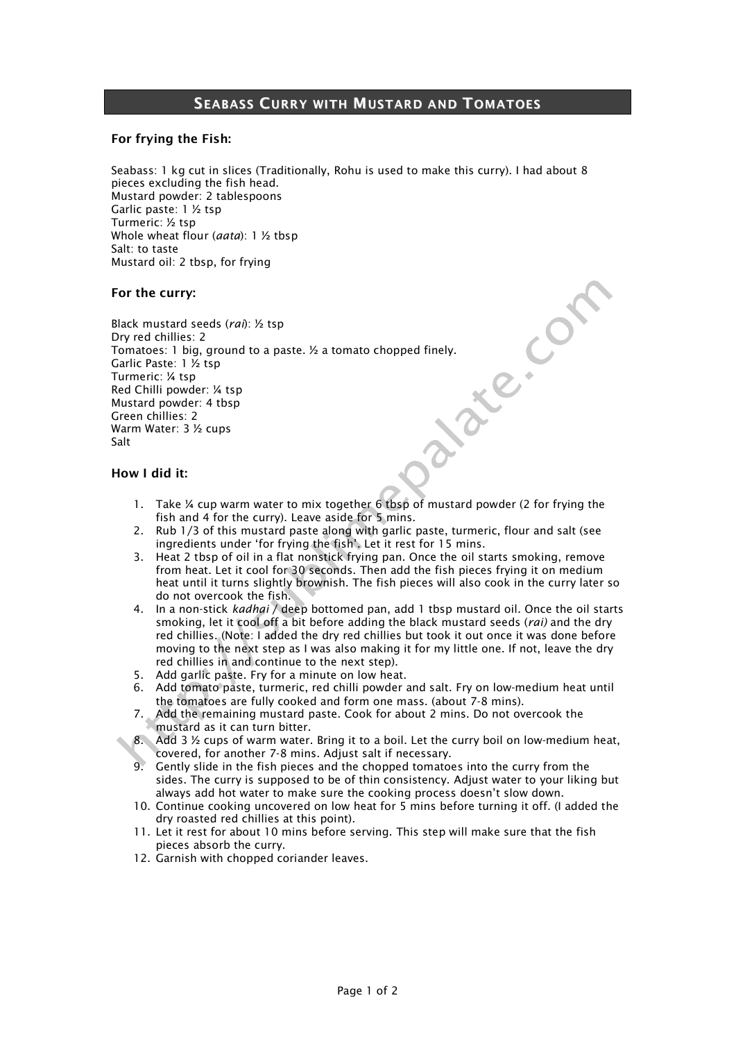# SEABASS CURRY WITH MUSTARD AND TOMATOES

## For frying the Fish:

Seabass: 1 kg cut in slices (Traditionally, Rohu is used to make this curry). I had about 8 pieces excluding the fish head. Mustard powder: 2 tablespoons Garlic paste: 1 ½ tsp Turmeric: ½ tsp Whole wheat flour (*aata*): 1 ½ tbsp Salt: to taste Mustard oil: 2 tbsp, for frying

### For the curry:

ate: Con Black mustard seeds (*rai*): ½ tsp Dry red chillies: 2 Tomatoes: 1 big, ground to a paste. ½ a tomato chopped finely. Garlic Paste: 1 ½ tsp Turmeric: ¼ tsp Red Chilli powder: ¼ tsp Mustard powder: 4 tbsp Green chillies: 2 Warm Water: 3 ½ cups Salt

### How I did it:

- 1. Take ¼ cup warm water to mix together 6 tbsp of mustard powder (2 for frying the fish and 4 for the curry). Leave aside for 5 mins.
- 2. Rub 1/3 of this mustard paste along with garlic paste, turmeric, flour and salt (see ingredients under 'for frying the fish'. Let it rest for 15 mins.
- 3. Heat 2 tbsp of oil in a flat nonstick frying pan. Once the oil starts smoking, remove from heat. Let it cool for 30 seconds. Then add the fish pieces frying it on medium heat until it turns slightly brownish. The fish pieces will also cook in the curry later so do not overcook the fish.
- 4. In a non-stick *kadhai* / deep bottomed pan, add 1 tbsp mustard oil. Once the oil starts smoking, let it cool off a bit before adding the black mustard seeds (*rai)* and the dry red chillies. (Note: I added the dry red chillies but took it out once it was done before moving to the next step as I was also making it for my little one. If not, leave the dry red chillies in and continue to the next step).
- 5. Add garlic paste. Fry for a minute on low heat.
- 6. Add tomato paste, turmeric, red chilli powder and salt. Fry on low-medium heat until the tomatoes are fully cooked and form one mass. (about 7-8 mins).
- Add the remaining mustard paste. Cook for about 2 mins. Do not overcook the mustard as it can turn bitter.
- 8. Add 3 ½ cups of warm water. Bring it to a boil. Let the curry boil on low-medium heat, covered, for another 7-8 mins. Adjust salt if necessary.
- 9. Gently slide in the fish pieces and the chopped tomatoes into the curry from the sides. The curry is supposed to be of thin consistency. Adjust water to your liking but always add hot water to make sure the cooking process doesn't slow down.
- 10. Continue cooking uncovered on low heat for 5 mins before turning it off. (I added the dry roasted red chillies at this point).
- 11. Let it rest for about 10 mins before serving. This step will make sure that the fish pieces absorb the curry.
- 12. Garnish with chopped coriander leaves.